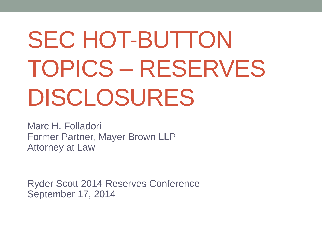# SEC HOT-BUTTON TOPICS – RESERVES DISCLOSURES

Marc H. Folladori Former Partner, Mayer Brown LLP Attorney at Law

Ryder Scott 2014 Reserves Conference September 17, 2014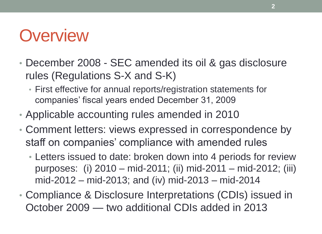#### **Overview**

- December 2008 SEC amended its oil & gas disclosure rules (Regulations S-X and S-K)
	- First effective for annual reports/registration statements for companies' fiscal years ended December 31, 2009
- Applicable accounting rules amended in 2010
- Comment letters: views expressed in correspondence by staff on companies' compliance with amended rules
	- Letters issued to date: broken down into 4 periods for review purposes: (i) 2010 – mid-2011; (ii) mid-2011 – mid-2012; (iii) mid-2012 – mid-2013; and (iv) mid-2013 – mid-2014
- Compliance & Disclosure Interpretations (CDIs) issued in October 2009 — two additional CDIs added in 2013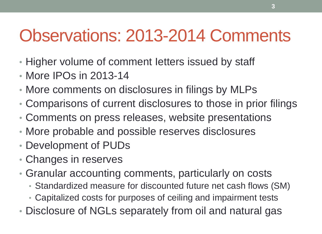## Observations: 2013-2014 Comments

- Higher volume of comment letters issued by staff
- More IPOs in 2013-14
- More comments on disclosures in filings by MLPs
- Comparisons of current disclosures to those in prior filings
- Comments on press releases, website presentations
- More probable and possible reserves disclosures
- Development of PUDs
- Changes in reserves
- Granular accounting comments, particularly on costs
	- Standardized measure for discounted future net cash flows (SM)
	- Capitalized costs for purposes of ceiling and impairment tests
- Disclosure of NGLs separately from oil and natural gas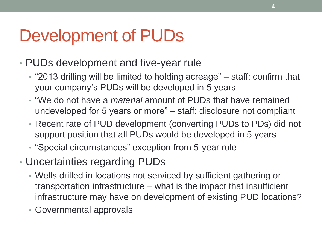## Development of PUDs

- PUDs development and five-year rule
	- $\cdot$  "2013 drilling will be limited to holding acreage" staff: confirm that your company's PUDs will be developed in 5 years
	- ―We do not have a *material* amount of PUDs that have remained undeveloped for 5 years or more" – staff: disclosure not compliant
	- Recent rate of PUD development (converting PUDs to PDs) did not support position that all PUDs would be developed in 5 years
	- "Special circumstances" exception from 5-year rule
- Uncertainties regarding PUDs
	- Wells drilled in locations not serviced by sufficient gathering or transportation infrastructure – what is the impact that insufficient infrastructure may have on development of existing PUD locations?
	- Governmental approvals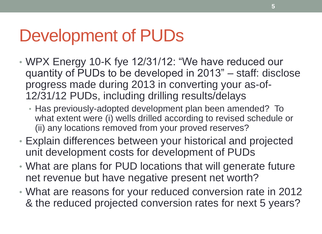#### Development of PUDs

- WPX Energy 10-K fye 12/31/12: "We have reduced our quantity of PUDs to be developed in 2013" – staff: disclose progress made during 2013 in converting your as-of-12/31/12 PUDs, including drilling results/delays
	- Has previously-adopted development plan been amended? To what extent were (i) wells drilled according to revised schedule or (ii) any locations removed from your proved reserves?
- Explain differences between your historical and projected unit development costs for development of PUDs
- What are plans for PUD locations that will generate future net revenue but have negative present net worth?
- What are reasons for your reduced conversion rate in 2012 & the reduced projected conversion rates for next 5 years?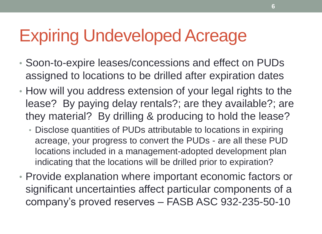## Expiring Undeveloped Acreage

- Soon-to-expire leases/concessions and effect on PUDs assigned to locations to be drilled after expiration dates
- How will you address extension of your legal rights to the lease? By paying delay rentals?; are they available?; are they material? By drilling & producing to hold the lease?
	- Disclose quantities of PUDs attributable to locations in expiring acreage, your progress to convert the PUDs - are all these PUD locations included in a management-adopted development plan indicating that the locations will be drilled prior to expiration?
- Provide explanation where important economic factors or significant uncertainties affect particular components of a company's proved reserves – FASB ASC 932-235-50-10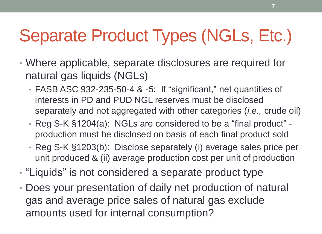## Separate Product Types (NGLs, Etc.)

- Where applicable, separate disclosures are required for natural gas liquids (NGLs)
	- FASB ASC 932-235-50-4 & -5: If "significant," net quantities of interests in PD and PUD NGL reserves must be disclosed separately and not aggregated with other categories (*i.e.,* crude oil)
	- Reg S-K §1204(a): NGLs are considered to be a "final product" production must be disclosed on basis of each final product sold
	- Reg S-K §1203(b): Disclose separately (i) average sales price per unit produced & (ii) average production cost per unit of production
- "Liquids" is not considered a separate product type
- Does your presentation of daily net production of natural gas and average price sales of natural gas exclude amounts used for internal consumption?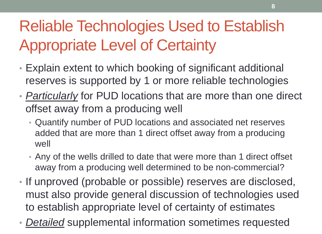### Reliable Technologies Used to Establish Appropriate Level of Certainty

- Explain extent to which booking of significant additional reserves is supported by 1 or more reliable technologies
- *Particularly* for PUD locations that are more than one direct offset away from a producing well
	- Quantify number of PUD locations and associated net reserves added that are more than 1 direct offset away from a producing well
	- Any of the wells drilled to date that were more than 1 direct offset away from a producing well determined to be non-commercial?
- If unproved (probable or possible) reserves are disclosed, must also provide general discussion of technologies used to establish appropriate level of certainty of estimates
- *Detailed* supplemental information sometimes requested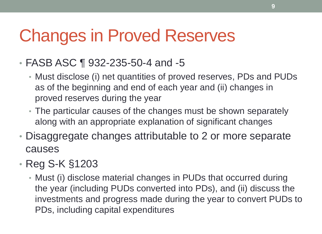## Changes in Proved Reserves

- FASB ASC ¶ 932-235-50-4 and -5
	- Must disclose (i) net quantities of proved reserves, PDs and PUDs as of the beginning and end of each year and (ii) changes in proved reserves during the year
	- The particular causes of the changes must be shown separately along with an appropriate explanation of significant changes
- Disaggregate changes attributable to 2 or more separate causes
- Reg S-K §1203
	- Must (i) disclose material changes in PUDs that occurred during the year (including PUDs converted into PDs), and (ii) discuss the investments and progress made during the year to convert PUDs to PDs, including capital expenditures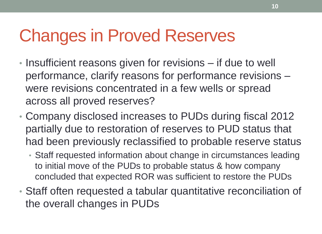## Changes in Proved Reserves

- Insufficient reasons given for revisions if due to well performance, clarify reasons for performance revisions – were revisions concentrated in a few wells or spread across all proved reserves?
- Company disclosed increases to PUDs during fiscal 2012 partially due to restoration of reserves to PUD status that had been previously reclassified to probable reserve status
	- Staff requested information about change in circumstances leading to initial move of the PUDs to probable status & how company concluded that expected ROR was sufficient to restore the PUDs
- Staff often requested a tabular quantitative reconciliation of the overall changes in PUDs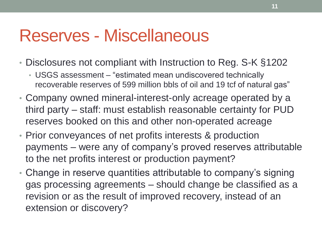#### Reserves - Miscellaneous

- Disclosures not compliant with Instruction to Reg. S-K §1202
	- USGS assessment "estimated mean undiscovered technically recoverable reserves of 599 million bbls of oil and 19 tcf of natural gas"
- Company owned mineral-interest-only acreage operated by a third party – staff: must establish reasonable certainty for PUD reserves booked on this and other non-operated acreage
- Prior conveyances of net profits interests & production payments – were any of company's proved reserves attributable to the net profits interest or production payment?
- Change in reserve quantities attributable to company's signing gas processing agreements – should change be classified as a revision or as the result of improved recovery, instead of an extension or discovery?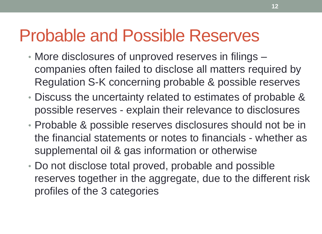#### Probable and Possible Reserves

- More disclosures of unproved reserves in filings companies often failed to disclose all matters required by Regulation S-K concerning probable & possible reserves
- Discuss the uncertainty related to estimates of probable & possible reserves - explain their relevance to disclosures
- Probable & possible reserves disclosures should not be in the financial statements or notes to financials - whether as supplemental oil & gas information or otherwise
- Do not disclose total proved, probable and possible reserves together in the aggregate, due to the different risk profiles of the 3 categories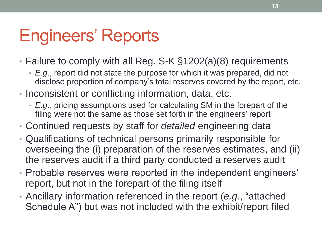## Engineers' Reports

- Failure to comply with all Reg. S-K §1202(a)(8) requirements
	- *E.g*., report did not state the purpose for which it was prepared, did not disclose proportion of company's total reserves covered by the report, etc.
- Inconsistent or conflicting information, data, etc.
	- *E.g*., pricing assumptions used for calculating SM in the forepart of the filing were not the same as those set forth in the engineers' report
- Continued requests by staff for *detailed* engineering data
- Qualifications of technical persons primarily responsible for overseeing the (i) preparation of the reserves estimates, and (ii) the reserves audit if a third party conducted a reserves audit
- Probable reserves were reported in the independent engineers' report, but not in the forepart of the filing itself
- Ancillary information referenced in the report (e.g., "attached Schedule A") but was not included with the exhibit/report filed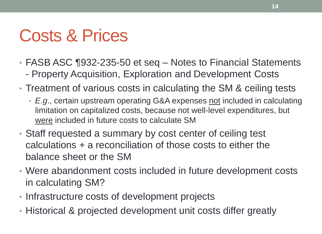## Costs & Prices

- FASB ASC ¶932-235-50 et seq Notes to Financial Statements
	- Property Acquisition, Exploration and Development Costs
- Treatment of various costs in calculating the SM & ceiling tests
	- *E.g*., certain upstream operating G&A expenses not included in calculating limitation on capitalized costs, because not well-level expenditures, but were included in future costs to calculate SM
- Staff requested a summary by cost center of ceiling test calculations + a reconciliation of those costs to either the balance sheet or the SM
- Were abandonment costs included in future development costs in calculating SM?
- Infrastructure costs of development projects
- Historical & projected development unit costs differ greatly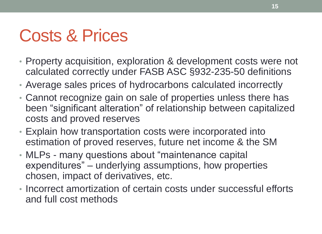## Costs & Prices

- Property acquisition, exploration & development costs were not calculated correctly under FASB ASC §932-235-50 definitions
- Average sales prices of hydrocarbons calculated incorrectly
- Cannot recognize gain on sale of properties unless there has been "significant alteration" of relationship between capitalized costs and proved reserves
- Explain how transportation costs were incorporated into estimation of proved reserves, future net income & the SM
- MLPs many questions about "maintenance capital expenditures" – underlying assumptions, how properties chosen, impact of derivatives, etc.
- Incorrect amortization of certain costs under successful efforts and full cost methods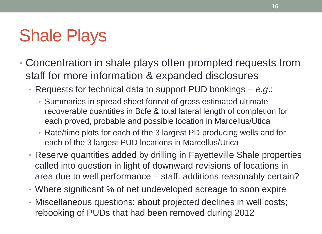## Shale Plays

- Concentration in shale plays often prompted requests from staff for more information & expanded disclosures
	- Requests for technical data to support PUD bookings *e.g*.:
		- Summaries in spread sheet format of gross estimated ultimate recoverable quantities in Bcfe & total lateral length of completion for each proved, probable and possible location in Marcellus/Utica
		- Rate/time plots for each of the 3 largest PD producing wells and for each of the 3 largest PUD locations in Marcellus/Utica
	- Reserve quantities added by drilling in Fayetteville Shale properties called into question in light of downward revisions of locations in area due to well performance – staff: additions reasonably certain?
	- Where significant % of net undeveloped acreage to soon expire
	- Miscellaneous questions: about projected declines in well costs; rebooking of PUDs that had been removed during 2012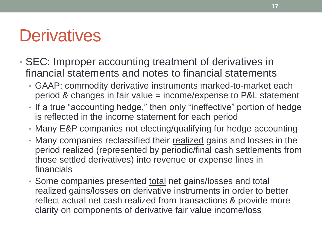#### **Derivatives**

- SEC: Improper accounting treatment of derivatives in financial statements and notes to financial statements
	- GAAP: commodity derivative instruments marked-to-market each period & changes in fair value = income/expense to P&L statement
	- If a true "accounting hedge," then only "ineffective" portion of hedge is reflected in the income statement for each period
	- Many E&P companies not electing/qualifying for hedge accounting
	- Many companies reclassified their realized gains and losses in the period realized (represented by periodic/final cash settlements from those settled derivatives) into revenue or expense lines in financials
	- Some companies presented total net gains/losses and total realized gains/losses on derivative instruments in order to better reflect actual net cash realized from transactions & provide more clarity on components of derivative fair value income/loss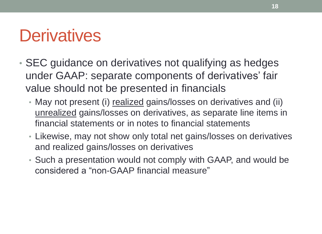#### **Derivatives**

- SEC guidance on derivatives not qualifying as hedges under GAAP: separate components of derivatives' fair value should not be presented in financials
	- May not present (i) realized gains/losses on derivatives and (ii) unrealized gains/losses on derivatives, as separate line items in financial statements or in notes to financial statements
	- Likewise, may not show only total net gains/losses on derivatives and realized gains/losses on derivatives
	- Such a presentation would not comply with GAAP, and would be considered a "non-GAAP financial measure"